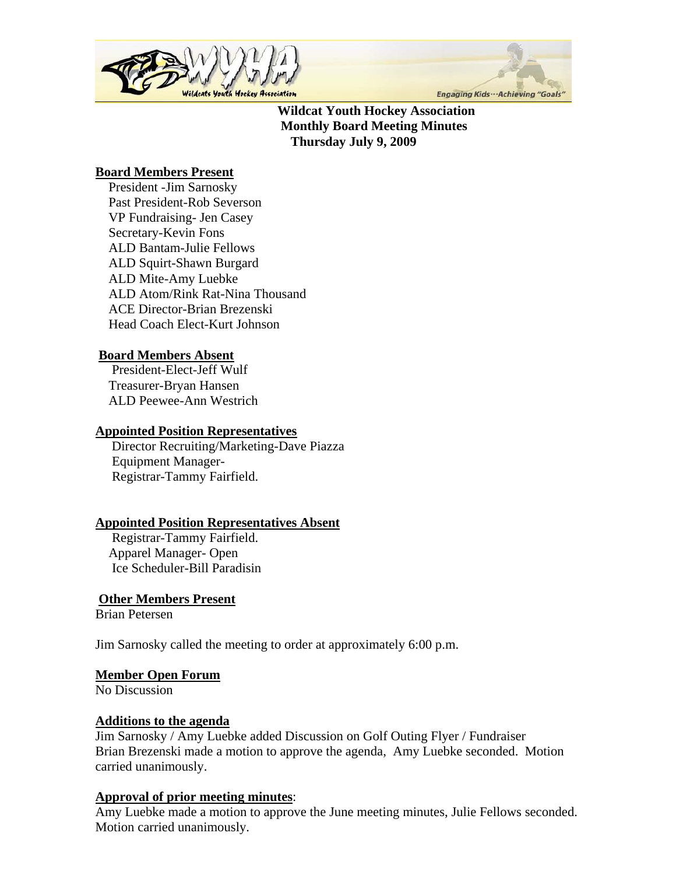



 **Wildcat Youth Hockey Association Monthly Board Meeting Minutes Thursday July 9, 2009** 

# **Board Members Present**

 President -Jim Sarnosky Past President-Rob Severson VP Fundraising- Jen Casey Secretary-Kevin Fons ALD Bantam-Julie Fellows ALD Squirt-Shawn Burgard ALD Mite-Amy Luebke ALD Atom/Rink Rat-Nina Thousand ACE Director-Brian Brezenski Head Coach Elect-Kurt Johnson

# **Board Members Absent**

 President-Elect-Jeff Wulf Treasurer-Bryan Hansen ALD Peewee-Ann Westrich

## **Appointed Position Representatives**

 Director Recruiting/Marketing-Dave Piazza Equipment Manager- Registrar-Tammy Fairfield.

# **Appointed Position Representatives Absent**

 Registrar-Tammy Fairfield. Apparel Manager- Open Ice Scheduler-Bill Paradisin

# **Other Members Present**

Brian Petersen

Jim Sarnosky called the meeting to order at approximately 6:00 p.m.

#### **Member Open Forum**

No Discussion

#### **Additions to the agenda**

Jim Sarnosky / Amy Luebke added Discussion on Golf Outing Flyer / Fundraiser Brian Brezenski made a motion to approve the agenda, Amy Luebke seconded. Motion carried unanimously.

## **Approval of prior meeting minutes**:

Amy Luebke made a motion to approve the June meeting minutes, Julie Fellows seconded. Motion carried unanimously.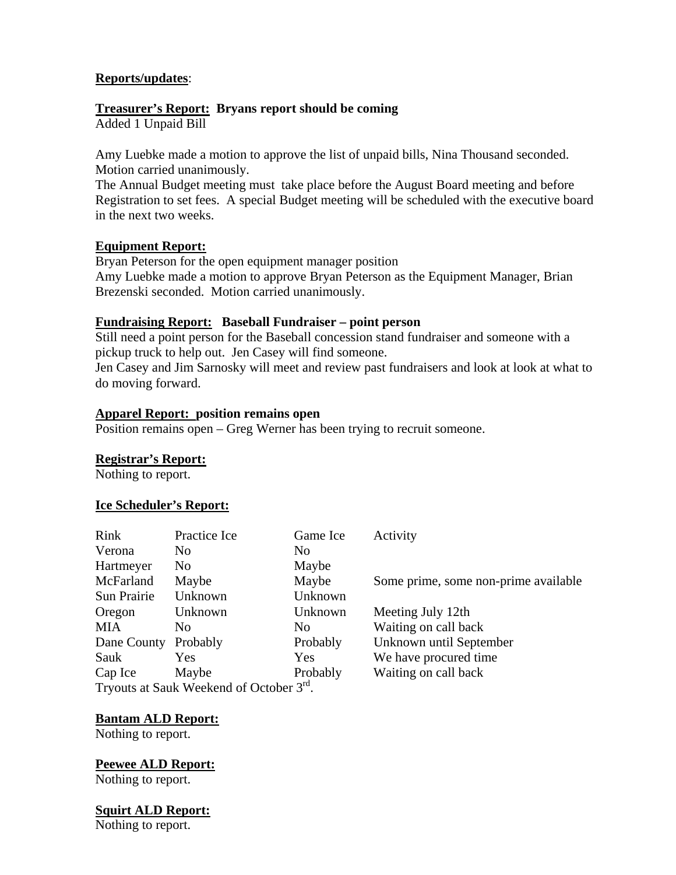## **Reports/updates**:

## **Treasurer's Report: Bryans report should be coming**

Added 1 Unpaid Bill

Amy Luebke made a motion to approve the list of unpaid bills, Nina Thousand seconded. Motion carried unanimously.

The Annual Budget meeting must take place before the August Board meeting and before Registration to set fees. A special Budget meeting will be scheduled with the executive board in the next two weeks.

#### **Equipment Report:**

Bryan Peterson for the open equipment manager position Amy Luebke made a motion to approve Bryan Peterson as the Equipment Manager, Brian Brezenski seconded. Motion carried unanimously.

## **Fundraising Report: Baseball Fundraiser – point person**

Still need a point person for the Baseball concession stand fundraiser and someone with a pickup truck to help out. Jen Casey will find someone.

Jen Casey and Jim Sarnosky will meet and review past fundraisers and look at look at what to do moving forward.

### **Apparel Report: position remains open**

Position remains open – Greg Werner has been trying to recruit someone.

#### **Registrar's Report:**

Nothing to report.

#### **Ice Scheduler's Report:**

| Rink                                                 | Practice Ice   | Game Ice   | Activity                             |
|------------------------------------------------------|----------------|------------|--------------------------------------|
| Verona                                               | N <sub>0</sub> | No.        |                                      |
| Hartmeyer                                            | No.            | Maybe      |                                      |
| McFarland                                            | Maybe          | Maybe      | Some prime, some non-prime available |
| Sun Prairie                                          | Unknown        | Unknown    |                                      |
| Oregon                                               | Unknown        | Unknown    | Meeting July 12th                    |
| MIA                                                  | N <sub>0</sub> | No.        | Waiting on call back                 |
| Dane County                                          | Probably       | Probably   | Unknown until September              |
| Sauk                                                 | <b>Yes</b>     | <b>Yes</b> | We have procured time.               |
| Cap Ice                                              | Maybe          | Probably   | Waiting on call back                 |
| Tryouts at Sauk Weekend of October 3 <sup>rd</sup> . |                |            |                                      |

#### **Bantam ALD Report:**

Nothing to report.

**Peewee ALD Report:** Nothing to report.

**Squirt ALD Report:**

Nothing to report.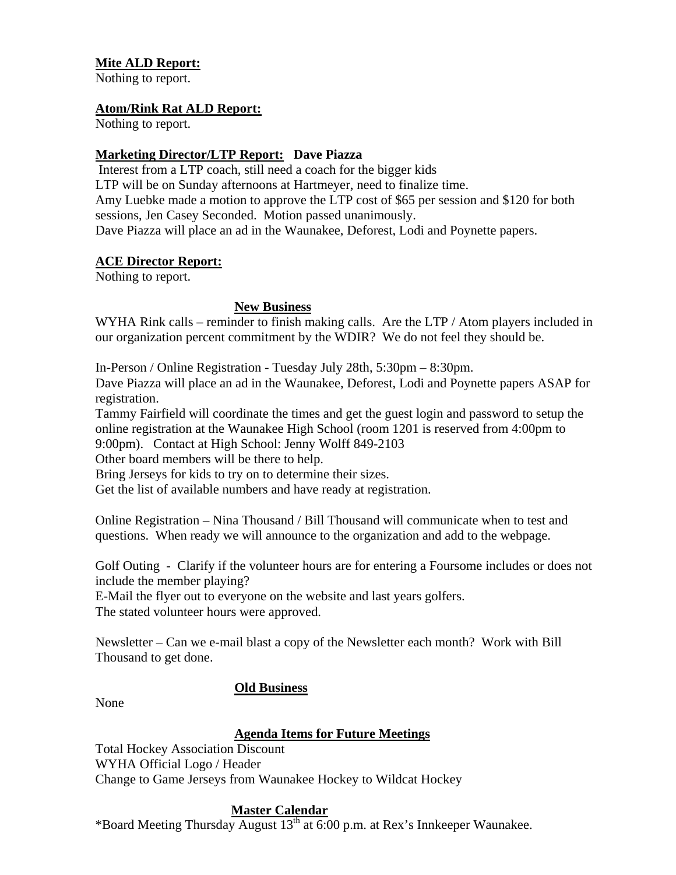## **Mite ALD Report:**

Nothing to report.

#### **Atom/Rink Rat ALD Report:**

Nothing to report.

### **Marketing Director/LTP Report: Dave Piazza**

 Interest from a LTP coach, still need a coach for the bigger kids LTP will be on Sunday afternoons at Hartmeyer, need to finalize time. Amy Luebke made a motion to approve the LTP cost of \$65 per session and \$120 for both sessions, Jen Casey Seconded. Motion passed unanimously. Dave Piazza will place an ad in the Waunakee, Deforest, Lodi and Poynette papers.

#### **ACE Director Report:**

Nothing to report.

#### **New Business**

WYHA Rink calls – reminder to finish making calls. Are the LTP / Atom players included in our organization percent commitment by the WDIR? We do not feel they should be.

In-Person / Online Registration - Tuesday July 28th, 5:30pm – 8:30pm.

Dave Piazza will place an ad in the Waunakee, Deforest, Lodi and Poynette papers ASAP for registration.

Tammy Fairfield will coordinate the times and get the guest login and password to setup the online registration at the Waunakee High School (room 1201 is reserved from 4:00pm to 9:00pm). Contact at High School: Jenny Wolff 849-2103

Other board members will be there to help.

Bring Jerseys for kids to try on to determine their sizes.

Get the list of available numbers and have ready at registration.

Online Registration – Nina Thousand / Bill Thousand will communicate when to test and questions. When ready we will announce to the organization and add to the webpage.

Golf Outing - Clarify if the volunteer hours are for entering a Foursome includes or does not include the member playing?

E-Mail the flyer out to everyone on the website and last years golfers. The stated volunteer hours were approved.

Newsletter – Can we e-mail blast a copy of the Newsletter each month? Work with Bill Thousand to get done.

#### **Old Business**

None

#### **Agenda Items for Future Meetings**

Total Hockey Association Discount WYHA Official Logo / Header Change to Game Jerseys from Waunakee Hockey to Wildcat Hockey

#### **Master Calendar**

\*Board Meeting Thursday August  $13<sup>th</sup>$  at 6:00 p.m. at Rex's Innkeeper Waunakee.